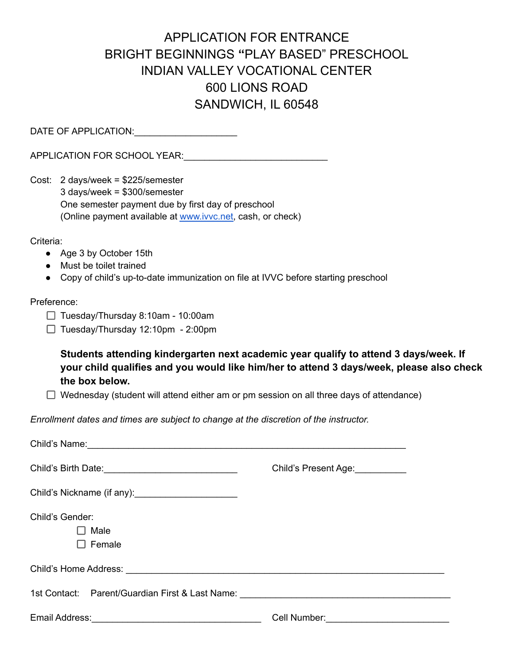## APPLICATION FOR ENTRANCE BRIGHT BEGINNINGS **"**PLAY BASED" PRESCHOOL INDIAN VALLEY VOCATIONAL CENTER 600 LIONS ROAD SANDWICH, IL 60548

DATE OF APPLICATION:\_\_\_\_\_\_\_\_\_\_\_\_\_\_\_\_\_\_\_\_

APPLICATION FOR SCHOOL YEAR:\_\_\_\_\_\_\_\_\_\_\_\_\_\_\_\_\_\_\_\_\_\_\_\_\_\_\_\_

Cost: 2 days/week = \$225/semester 3 days/week = \$300/semester One semester payment due by first day of preschool (Online payment available at [www.ivvc.net,](http://www.ivvc.net) cash, or check)

Criteria:

- Age 3 by October 15th
- Must be toilet trained
- Copy of child's up-to-date immunization on file at IVVC before starting preschool

## Preference:

- $\Box$  Tuesday/Thursday 8:10am 10:00am
- $\Box$  Tuesday/Thursday 12:10pm 2:00pm

**Students attending kindergarten next academic year qualify to attend 3 days/week. If your child qualifies and you would like him/her to attend 3 days/week, please also check the box below.**

 $\Box$  Wednesday (student will attend either am or pm session on all three days of attendance)

*Enrollment dates and times are subject to change at the discretion of the instructor.*

| Child's Present Age:                                                              |
|-----------------------------------------------------------------------------------|
|                                                                                   |
|                                                                                   |
|                                                                                   |
|                                                                                   |
|                                                                                   |
| 1st Contact: Parent/Guardian First & Last Name: _________________________________ |
|                                                                                   |
|                                                                                   |